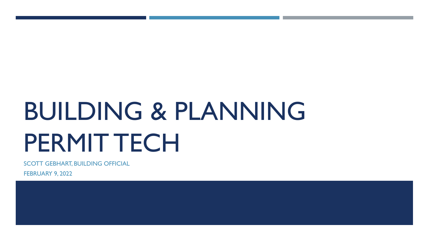# BUILDING & PLANNING PERMIT TECH

SCOTT GEBHART, BUILDING OFFICIAL

FEBRUARY 9, 2022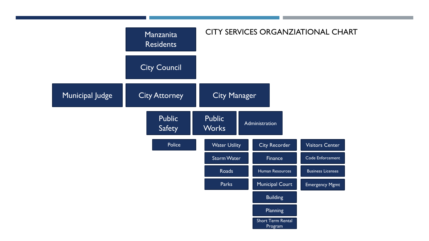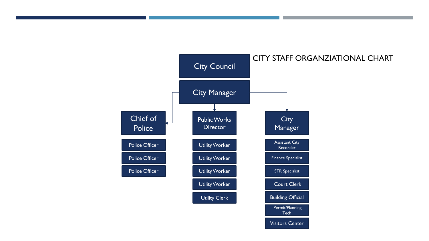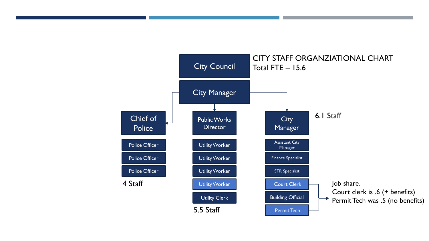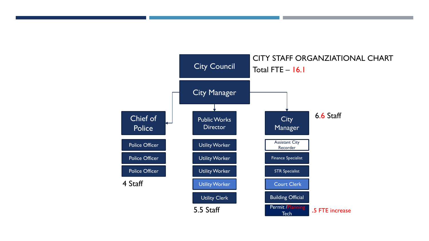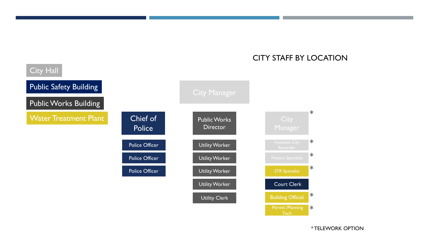#### City Manager Chief of Police Public Works **Director** Manager Utility Worker Utility Worker Utility Worker Utility Worker STR Specialist Court Clerk Building Official Police Officer Police Officer Police Officer Utility Clerk \* \* \* \* \* City Hall **Public Safety Building** Public Works Building Water Treatment Plant

CITY STAFF BY LOCATION

Permit /Planning **Tech** 

\*

\* TELEWORK OPTION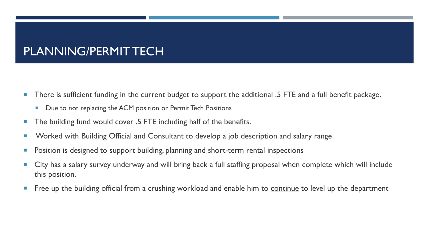# PLANNING/PERMIT TECH

- There is sufficient funding in the current budget to support the additional .5 FTE and a full benefit package.
	- Due to not replacing the ACM position or Permit Tech Positions
- The building fund would cover .5 FTE including half of the benefits.
- **Norked with Building Official and Consultant to develop a job description and salary range.**
- **Position is designed to support building, planning and short-term rental inspections**
- City has a salary survey underway and will bring back a full staffing proposal when complete which will include this position.
- **Figure 1** Free up the building official from a crushing workload and enable him to continue to level up the department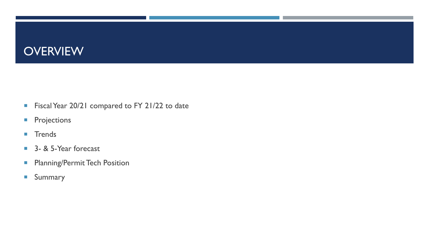#### **OVERVIEW**

- Fiscal Year 20/21 compared to FY 21/22 to date
- **Projections**
- **Trends**
- 3- & 5-Year forecast
- **Planning/Permit Tech Position**
- **Summary**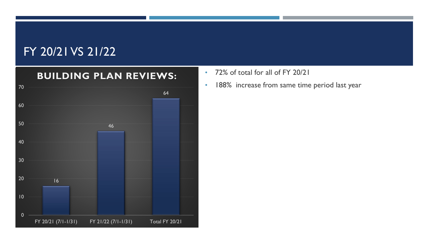

- 72% of total for all of FY 20/21
- 188% increase from same time period last year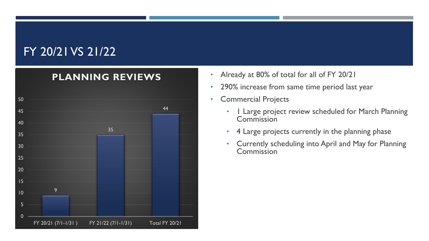

- Already at 80% of total for all of FY 20/21
- 290% increase from same time period last year
- Commercial Projects
	- 1 Large project review scheduled for March Planning **Commission**
	- 4 Large projects currently in the planning phase
	- Currently scheduling into April and May for Planning **Commission**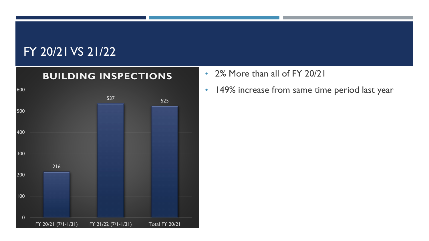

- 2% More than all of FY 20/21
- 149% increase from same time period last year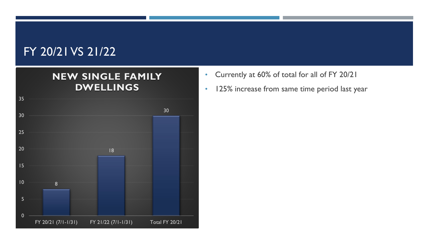#### **NEW SINGLE FAMILY DWELLINGS**



- Currently at 60% of total for all of FY 20/21
- 125% increase from same time period last year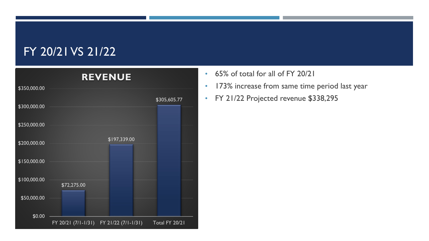

- 65% of total for all of FY 20/21
- 173% increase from same time period last year
- FY 21/22 Projected revenue \$338,295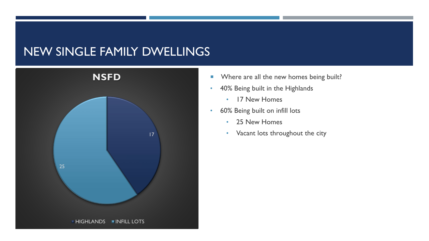#### NEW SINGLE FAMILY DWELLINGS



- **Where are all the new homes being built?**
- 40% Being built in the Highlands
	- 17 New Homes
- 60% Being built on infill lots
	- 25 New Homes
- 17  **Vacant lots throughout the city**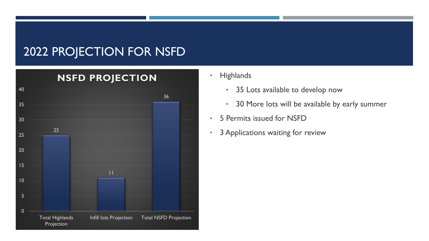#### 2022 PROJECTION FOR NSFD



#### • Highlands

- 35 Lots available to develop now
- 30 More lots will be available by early summer
- 5 Permits issued for NSFD
-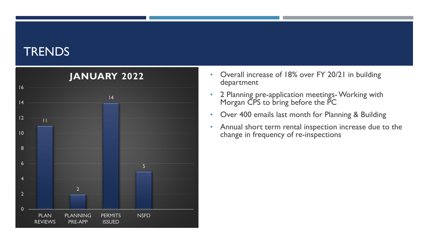#### **TRENDS**



- Overall increase of 18% over FY 20/21 in building department
- 2 Planning pre-application meetings-Working with Morgan CPS to bring before the PC
- Over 400 emails last month for Planning & Building
- Annual short term rental inspection increase due to the change in frequency of re-inspections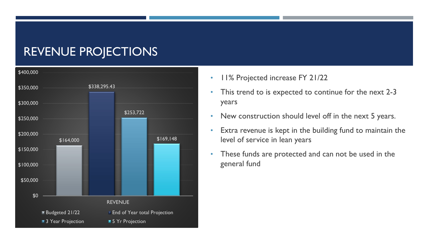#### REVENUE PROJECTIONS



- 11% Projected increase FY 21/22
- This trend to is expected to continue for the next 2-3 years
- New construction should level off in the next 5 years.
- Extra revenue is kept in the building fund to maintain the level of service in lean years
- These funds are protected and can not be used in the general fund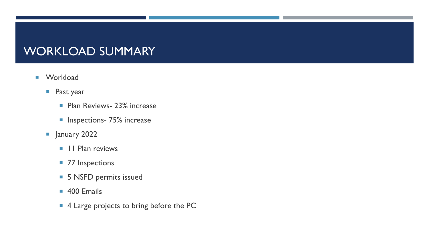#### WORKLOAD SUMMARY

- **Norkload** 
	- **Past year** 
		- **Plan Reviews- 23% increase**
		- **Inspections- 75% increase**
	- **January 2022** 
		- **11 Plan reviews**
		- 77 Inspections
		- **5 NSFD permits issued**
		- 400 Emails
		- 4 Large projects to bring before the PC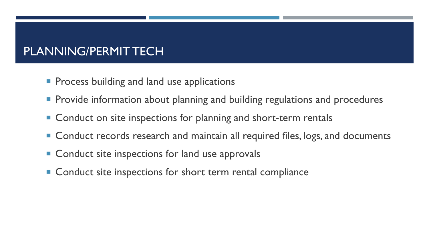## PLANNING/PERMIT TECH

- **Process building and land use applications**
- **Provide information about planning and building regulations and procedures**
- Conduct on site inspections for planning and short-term rentals
- Conduct records research and maintain all required files, logs, and documents
- Conduct site inspections for land use approvals
- **Conduct site inspections for short term rental compliance**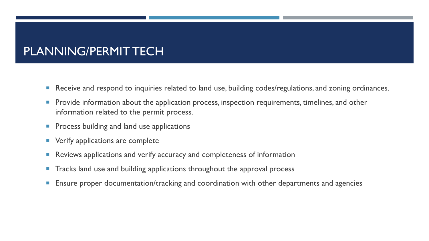#### PLANNING/PERMIT TECH

- Receive and respond to inquiries related to land use, building codes/regulations, and zoning ordinances.
- Provide information about the application process, inspection requirements, timelines, and other information related to the permit process.
- **Process building and land use applications**
- **•** Verify applications are complete
- **Reviews applications and verify accuracy and completeness of information**
- **The Tracks land use and building applications throughout the approval process**
- **Ensure proper documentation/tracking and coordination with other departments and agencies**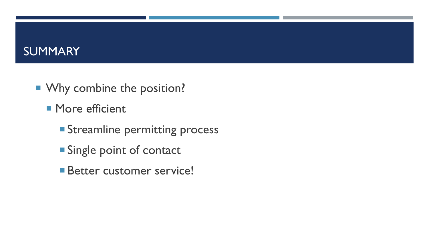#### **SUMMARY**

- **Why combine the position?** 
	- **More efficient** 
		- **Streamline permitting process**
		- **Single point of contact**
		- **Better customer service!**